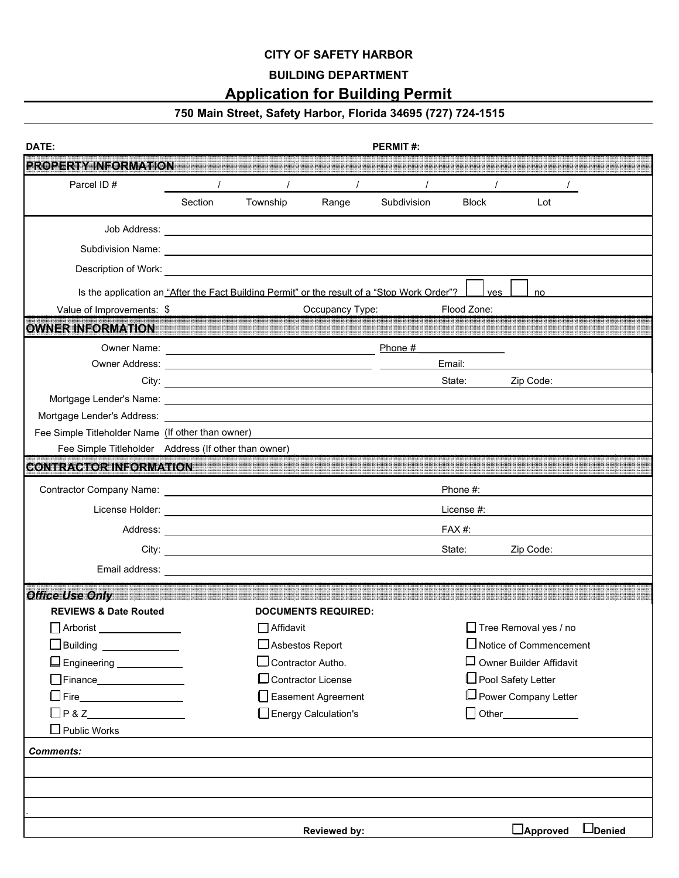#### **CITY OF SAFETY HARBOR**

### **BUILDING DEPARTMENT**

## **Application for Building Permit**

# **750 Main Street, Safety Harbor, Florida 34695 (727) 724-1515**

| DATE:                                                                                        |         | <b>PERMIT#:</b>                                                                                                       |                              |             |              |                                |  |  |
|----------------------------------------------------------------------------------------------|---------|-----------------------------------------------------------------------------------------------------------------------|------------------------------|-------------|--------------|--------------------------------|--|--|
| <b>PROPERTY INFORMATION</b>                                                                  |         |                                                                                                                       |                              |             |              |                                |  |  |
| Parcel ID#                                                                                   |         |                                                                                                                       |                              |             |              |                                |  |  |
|                                                                                              | Section | Township                                                                                                              | Range                        | Subdivision | <b>Block</b> | Lot                            |  |  |
|                                                                                              |         |                                                                                                                       |                              |             |              |                                |  |  |
|                                                                                              |         |                                                                                                                       |                              |             |              |                                |  |  |
|                                                                                              |         |                                                                                                                       |                              |             |              |                                |  |  |
| Is the application an "After the Fact Building Permit" or the result of a "Stop Work Order"? |         |                                                                                                                       |                              |             | ves          | no                             |  |  |
| Value of Improvements: \$                                                                    |         |                                                                                                                       | Occupancy Type:              |             | Flood Zone:  |                                |  |  |
| OWNER INFORMATION                                                                            |         |                                                                                                                       |                              |             |              |                                |  |  |
|                                                                                              |         |                                                                                                                       |                              | Phone #     |              |                                |  |  |
|                                                                                              | Email:  |                                                                                                                       |                              |             |              |                                |  |  |
|                                                                                              |         | City:                                                                                                                 |                              |             | State:       | Zip Code:                      |  |  |
|                                                                                              |         |                                                                                                                       |                              |             |              |                                |  |  |
|                                                                                              |         |                                                                                                                       |                              |             |              |                                |  |  |
| Fee Simple Titleholder Name (If other than owner)                                            |         |                                                                                                                       |                              |             |              |                                |  |  |
| Fee Simple Titleholder Address (If other than owner)                                         |         |                                                                                                                       |                              |             |              |                                |  |  |
| <b>CONTRACTOR INFORMATION</b>                                                                |         |                                                                                                                       |                              |             |              |                                |  |  |
|                                                                                              |         |                                                                                                                       |                              |             | Phone #:     |                                |  |  |
|                                                                                              |         |                                                                                                                       |                              |             | License #:   |                                |  |  |
|                                                                                              |         |                                                                                                                       |                              |             | FAX #:       |                                |  |  |
| City:                                                                                        |         | <u> 1980 - Jan Samuel Barbara, poeta establecea establecea establecea establecea establecea establecea establecea</u> |                              |             | State:       | Zip Code:                      |  |  |
| Email address:                                                                               |         |                                                                                                                       |                              |             |              |                                |  |  |
| <b>Office Use Only</b>                                                                       |         |                                                                                                                       |                              |             |              |                                |  |  |
| <b>REVIEWS &amp; Date Routed</b>                                                             |         |                                                                                                                       | <b>DOCUMENTS REQUIRED:</b>   |             |              |                                |  |  |
| Arborist ________________                                                                    |         | $\Box$ Affidavit                                                                                                      |                              |             |              | □ Tree Removal yes / no        |  |  |
| Building ______________                                                                      |         | $\Box$ Asbestos Report                                                                                                |                              |             |              | $\Box$ Notice of Commencement  |  |  |
| □ Engineering _____________                                                                  |         | $\Box$ Contractor Autho.                                                                                              |                              |             |              | $\Box$ Owner Builder Affidavit |  |  |
| $\Box$ Finance $\_\_\_\_\_\_\_\_\_\_\_\_$                                                    |         |                                                                                                                       | $\square$ Contractor License |             |              | □ Pool Safety Letter           |  |  |
|                                                                                              |         |                                                                                                                       | Sument Agreement             |             |              | □ Power Company Letter         |  |  |
| $\Box P & Z$                                                                                 |         |                                                                                                                       | Energy Calculation's         |             |              | $\Box$ Other______________     |  |  |
| $\square$ Public Works                                                                       |         |                                                                                                                       |                              |             |              |                                |  |  |
| <b>Comments:</b>                                                                             |         |                                                                                                                       |                              |             |              |                                |  |  |
|                                                                                              |         |                                                                                                                       |                              |             |              |                                |  |  |
|                                                                                              |         |                                                                                                                       |                              |             |              |                                |  |  |
|                                                                                              |         |                                                                                                                       |                              |             |              |                                |  |  |
|                                                                                              |         |                                                                                                                       | <b>Reviewed by:</b>          |             |              | LDenied<br>$\Box$ Approved     |  |  |